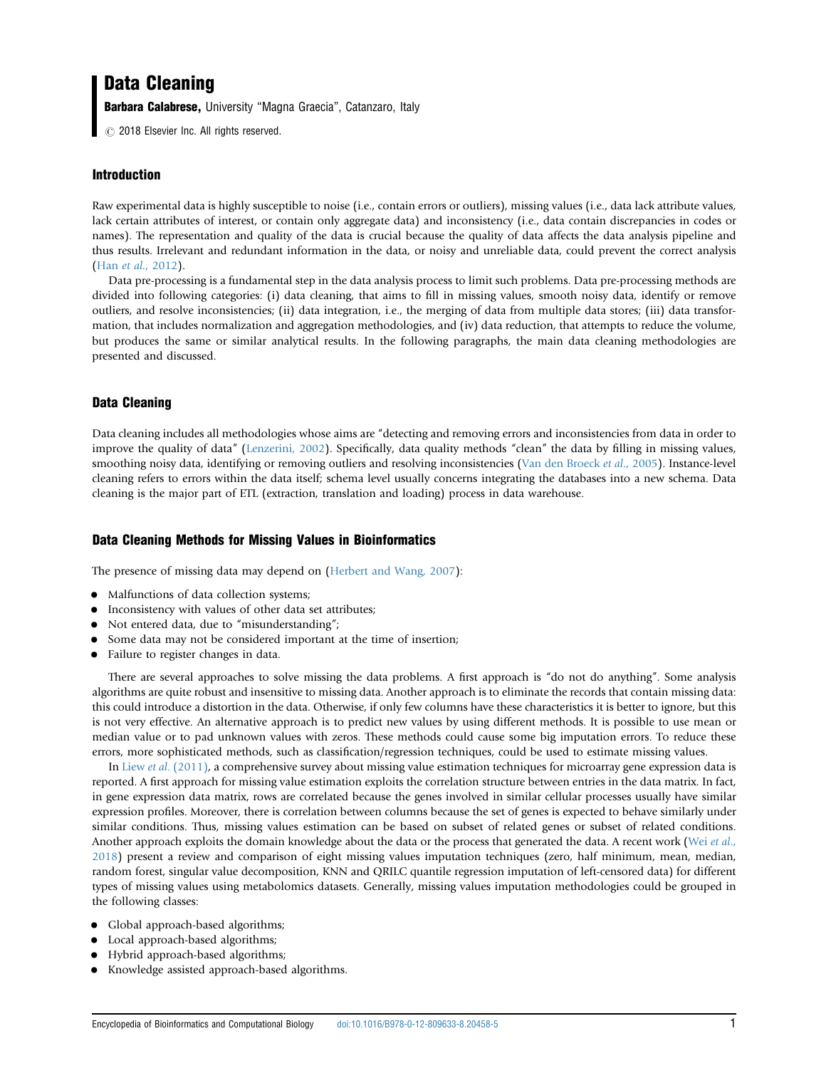# Data Cleaning

Barbara Calabrese, University "Magna Graecia", Catanzaro, Italy

 $\odot$  2018 Elsevier Inc. All rights reserved.

# Introduction

Raw experimental data is highly susceptible to noise (i.e., contain errors or outliers), missing values (i.e., data lack attribute values, lack certain attributes of interest, or contain only aggregate data) and inconsistency (i.e., data contain discrepancies in codes or names). The representation and quality of the data is crucial because the quality of data affects the data analysis pipeline and thus results. Irrelevant and redundant information in the data, or noisy and unreliable data, could prevent the correct analysis (Han et al[., 2012](#page-3-0)).

Data pre-processing is a fundamental step in the data analysis process to limit such problems. Data pre-processing methods are divided into following categories: (i) data cleaning, that aims to fill in missing values, smooth noisy data, identify or remove outliers, and resolve inconsistencies; (ii) data integration, i.e., the merging of data from multiple data stores; (iii) data transformation, that includes normalization and aggregation methodologies, and (iv) data reduction, that attempts to reduce the volume, but produces the same or similar analytical results. In the following paragraphs, the main data cleaning methodologies are presented and discussed.

# Data Cleaning

Data cleaning includes all methodologies whose aims are "detecting and removing errors and inconsistencies from data in order to improve the quality of data" [\(Lenzerini, 2002\)](#page-3-0). Specifically, data quality methods "clean" the data by filling in missing values, smoothing noisy data, identifying or removing outliers and resolving inconsistencies [\(Van den Broeck](#page-3-0) et al., 2005). Instance-level cleaning refers to errors within the data itself; schema level usually concerns integrating the databases into a new schema. Data cleaning is the major part of ETL (extraction, translation and loading) process in data warehouse.

# Data Cleaning Methods for Missing Values in Bioinformatics

The presence of missing data may depend on ([Herbert and Wang, 2007](#page-3-0)):

- Malfunctions of data collection systems;
- Inconsistency with values of other data set attributes;
- Not entered data, due to "misunderstanding";
- Some data may not be considered important at the time of insertion;
- Failure to register changes in data.

There are several approaches to solve missing the data problems. A first approach is "do not do anything". Some analysis algorithms are quite robust and insensitive to missing data. Another approach is to eliminate the records that contain missing data: this could introduce a distortion in the data. Otherwise, if only few columns have these characteristics it is better to ignore, but this is not very effective. An alternative approach is to predict new values by using different methods. It is possible to use mean or median value or to pad unknown values with zeros. These methods could cause some big imputation errors. To reduce these errors, more sophisticated methods, such as classification/regression techniques, could be used to estimate missing values.

In Liew et al[. \(2011\)](#page-3-0), a comprehensive survey about missing value estimation techniques for microarray gene expression data is reported. A first approach for missing value estimation exploits the correlation structure between entries in the data matrix. In fact, in gene expression data matrix, rows are correlated because the genes involved in similar cellular processes usually have similar expression profiles. Moreover, there is correlation between columns because the set of genes is expected to behave similarly under similar conditions. Thus, missing values estimation can be based on subset of related genes or subset of related conditions. Another approach exploits the domain knowledge about the data or the process that generated the data. A recent work [\(Wei](#page-3-0) et al., [2018](#page-3-0)) present a review and comparison of eight missing values imputation techniques (zero, half minimum, mean, median, random forest, singular value decomposition, KNN and QRILC quantile regression imputation of left-censored data) for different types of missing values using metabolomics datasets. Generally, missing values imputation methodologies could be grouped in the following classes:

- Global approach-based algorithms;
- Local approach-based algorithms;
- Hybrid approach-based algorithms;
- Knowledge assisted approach-based algorithms.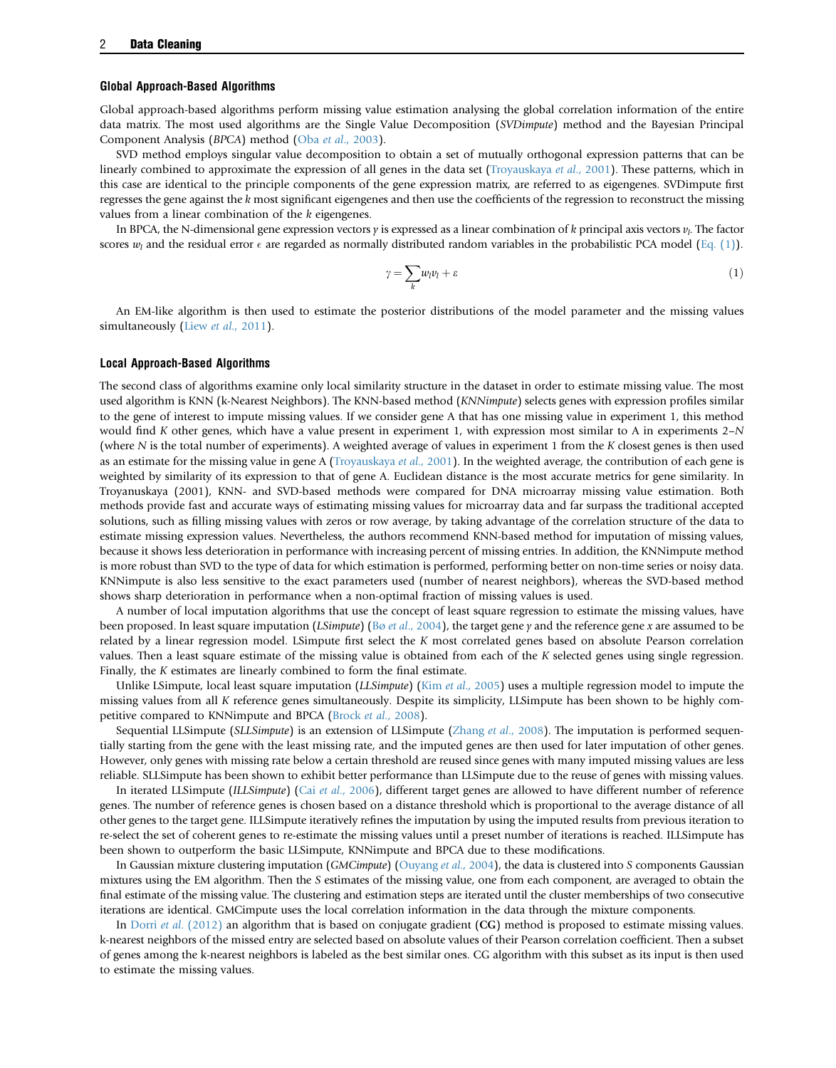#### Global Approach-Based Algorithms

Global approach-based algorithms perform missing value estimation analysing the global correlation information of the entire data matrix. The most used algorithms are the Single Value Decomposition (SVDimpute) method and the Bayesian Principal Component Analysis (BPCA) method (Oba et al[., 2003](#page-3-0)).

SVD method employs singular value decomposition to obtain a set of mutually orthogonal expression patterns that can be linearly combined to approximate the expression of all genes in the data set [\(Troyauskaya](#page-3-0) et al., 2001). These patterns, which in this case are identical to the principle components of the gene expression matrix, are referred to as eigengenes. SVDimpute first regresses the gene against the  $k$  most significant eigengenes and then use the coefficients of the regression to reconstruct the missing values from a linear combination of the k eigengenes.

In BPCA, the N-dimensional gene expression vectors  $y$  is expressed as a linear combination of  $k$  principal axis vectors  $v_l$ . The factor scores  $w_l$  and the residual error  $\epsilon$  are regarded as normally distributed random variables in the probabilistic PCA model (Eq. (1)).

$$
\gamma = \sum_{k} w_{l} v_{l} + \varepsilon \tag{1}
$$

An EM-like algorithm is then used to estimate the posterior distributions of the model parameter and the missing values simultaneously (Liew et al[., 2011](#page-3-0)).

## Local Approach-Based Algorithms

The second class of algorithms examine only local similarity structure in the dataset in order to estimate missing value. The most used algorithm is KNN (k-Nearest Neighbors). The KNN-based method (KNNimpute) selects genes with expression profiles similar to the gene of interest to impute missing values. If we consider gene A that has one missing value in experiment 1, this method would find K other genes, which have a value present in experiment 1, with expression most similar to A in experiments 2–N (where N is the total number of experiments). A weighted average of values in experiment 1 from the K closest genes is then used as an estimate for the missing value in gene A ([Troyauskaya](#page-3-0) et al., 2001). In the weighted average, the contribution of each gene is weighted by similarity of its expression to that of gene A. Euclidean distance is the most accurate metrics for gene similarity. In Troyanuskaya (2001), KNN- and SVD-based methods were compared for DNA microarray missing value estimation. Both methods provide fast and accurate ways of estimating missing values for microarray data and far surpass the traditional accepted solutions, such as filling missing values with zeros or row average, by taking advantage of the correlation structure of the data to estimate missing expression values. Nevertheless, the authors recommend KNN-based method for imputation of missing values, because it shows less deterioration in performance with increasing percent of missing entries. In addition, the KNNimpute method is more robust than SVD to the type of data for which estimation is performed, performing better on non-time series or noisy data. KNNimpute is also less sensitive to the exact parameters used (number of nearest neighbors), whereas the SVD-based method shows sharp deterioration in performance when a non-optimal fraction of missing values is used.

A number of local imputation algorithms that use the concept of least square regression to estimate the missing values, have been proposed. In least square imputation (LSimpute) (Bø et al[., 2004\)](#page-3-0), the target gene y and the reference gene x are assumed to be related by a linear regression model. LSimpute first select the K most correlated genes based on absolute Pearson correlation values. Then a least square estimate of the missing value is obtained from each of the K selected genes using single regression. Finally, the K estimates are linearly combined to form the final estimate.

Unlike LSimpute, local least square imputation *(LLSimpute)* (Kim et al[., 2005](#page-3-0)) uses a multiple regression model to impute the missing values from all K reference genes simultaneously. Despite its simplicity, LLSimpute has been shown to be highly competitive compared to KNNimpute and BPCA (Brock et al[., 2008\)](#page-3-0).

Sequential LLSimpute (SLLSimpute) is an extension of LLSimpute (Zhang et al[., 2008](#page-3-0)). The imputation is performed sequentially starting from the gene with the least missing rate, and the imputed genes are then used for later imputation of other genes. However, only genes with missing rate below a certain threshold are reused since genes with many imputed missing values are less reliable. SLLSimpute has been shown to exhibit better performance than LLSimpute due to the reuse of genes with missing values.

In iterated LLSimpute *(ILLSimpute)* (Cai et al[., 2006](#page-3-0)), different target genes are allowed to have different number of reference genes. The number of reference genes is chosen based on a distance threshold which is proportional to the average distance of all other genes to the target gene. ILLSimpute iteratively refines the imputation by using the imputed results from previous iteration to re-select the set of coherent genes to re-estimate the missing values until a preset number of iterations is reached. ILLSimpute has been shown to outperform the basic LLSimpute, KNNimpute and BPCA due to these modifications.

In Gaussian mixture clustering imputation (GMCimpute) [\(Ouyang](#page-3-0) et al., 2004), the data is clustered into S components Gaussian mixtures using the EM algorithm. Then the S estimates of the missing value, one from each component, are averaged to obtain the final estimate of the missing value. The clustering and estimation steps are iterated until the cluster memberships of two consecutive iterations are identical. GMCimpute uses the local correlation information in the data through the mixture components.

In Dorri et al[. \(2012\)](#page-3-0) an algorithm that is based on conjugate gradient (CG) method is proposed to estimate missing values. k-nearest neighbors of the missed entry are selected based on absolute values of their Pearson correlation coefficient. Then a subset of genes among the k-nearest neighbors is labeled as the best similar ones. CG algorithm with this subset as its input is then used to estimate the missing values.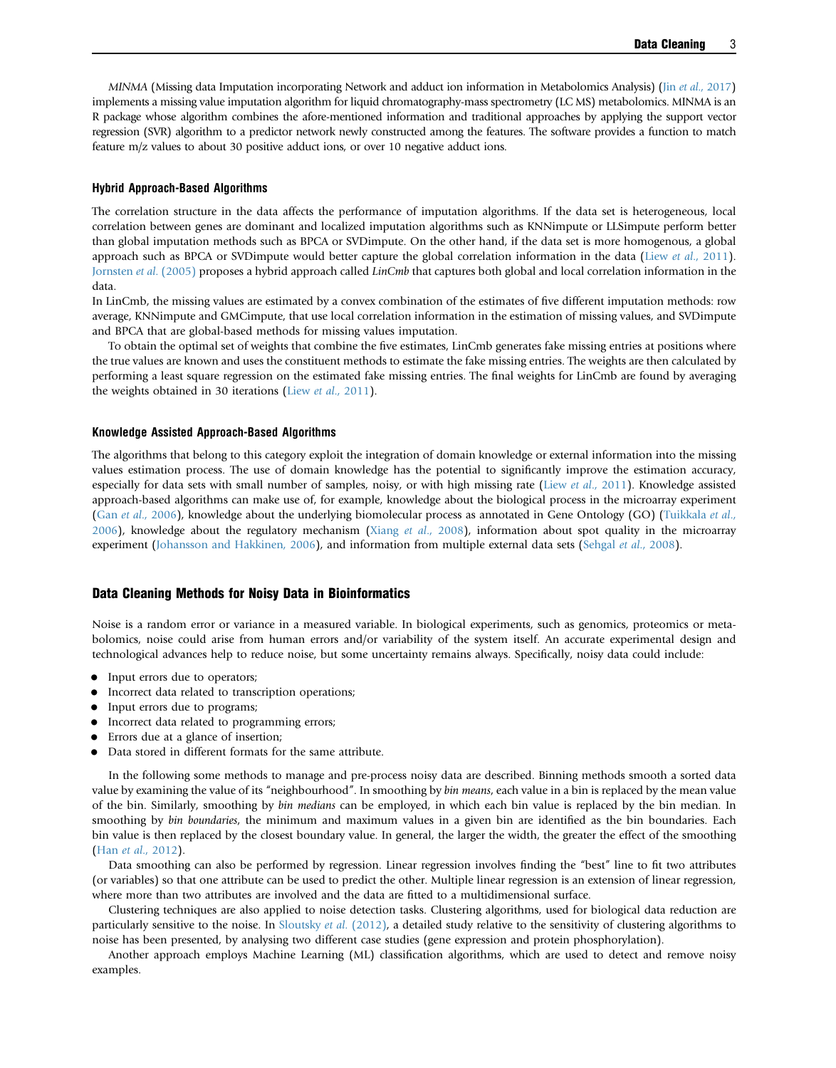MINMA (Missing data Imputation incorporating Network and adduct ion information in Metabolomics Analysis) (Jin et al[., 2017\)](#page-3-0) implements a missing value imputation algorithm for liquid chromatography-mass spectrometry (LC MS) metabolomics. MINMA is an R package whose algorithm combines the afore-mentioned information and traditional approaches by applying the support vector regression (SVR) algorithm to a predictor network newly constructed among the features. The software provides a function to match feature m/z values to about 30 positive adduct ions, or over 10 negative adduct ions.

#### Hybrid Approach-Based Algorithms

The correlation structure in the data affects the performance of imputation algorithms. If the data set is heterogeneous, local correlation between genes are dominant and localized imputation algorithms such as KNNimpute or LLSimpute perform better than global imputation methods such as BPCA or SVDimpute. On the other hand, if the data set is more homogenous, a global approach such as BPCA or SVDimpute would better capture the global correlation information in the data (Liew et al[., 2011\)](#page-3-0). [Jornsten](#page-3-0) et al. (2005) proposes a hybrid approach called LinCmb that captures both global and local correlation information in the data.

In LinCmb, the missing values are estimated by a convex combination of the estimates of five different imputation methods: row average, KNNimpute and GMCimpute, that use local correlation information in the estimation of missing values, and SVDimpute and BPCA that are global-based methods for missing values imputation.

To obtain the optimal set of weights that combine the five estimates, LinCmb generates fake missing entries at positions where the true values are known and uses the constituent methods to estimate the fake missing entries. The weights are then calculated by performing a least square regression on the estimated fake missing entries. The final weights for LinCmb are found by averaging the weights obtained in 30 iterations (Liew et al[., 2011\)](#page-3-0).

#### Knowledge Assisted Approach-Based Algorithms

The algorithms that belong to this category exploit the integration of domain knowledge or external information into the missing values estimation process. The use of domain knowledge has the potential to significantly improve the estimation accuracy, especially for data sets with small number of samples, noisy, or with high missing rate (Liew et al[., 2011](#page-3-0)). Knowledge assisted approach-based algorithms can make use of, for example, knowledge about the biological process in the microarray experiment (Gan et al[., 2006](#page-3-0)), knowledge about the underlying biomolecular process as annotated in Gene Ontology (GO) [\(Tuikkala](#page-3-0) et al., [2006](#page-3-0)), knowledge about the regulatory mechanism (Xiang et al[., 2008\)](#page-3-0), information about spot quality in the microarray experiment ([Johansson and Hakkinen, 2006](#page-3-0)), and information from multiple external data sets (Sehgal et al[., 2008](#page-3-0)).

## Data Cleaning Methods for Noisy Data in Bioinformatics

Noise is a random error or variance in a measured variable. In biological experiments, such as genomics, proteomics or metabolomics, noise could arise from human errors and/or variability of the system itself. An accurate experimental design and technological advances help to reduce noise, but some uncertainty remains always. Specifically, noisy data could include:

- Input errors due to operators;
- Incorrect data related to transcription operations;
- Input errors due to programs;
- Incorrect data related to programming errors;
- Errors due at a glance of insertion;
- Data stored in different formats for the same attribute.

In the following some methods to manage and pre-process noisy data are described. Binning methods smooth a sorted data value by examining the value of its "neighbourhood". In smoothing by *bin means*, each value in a bin is replaced by the mean value of the bin. Similarly, smoothing by bin medians can be employed, in which each bin value is replaced by the bin median. In smoothing by *bin boundaries*, the minimum and maximum values in a given bin are identified as the bin boundaries. Each bin value is then replaced by the closest boundary value. In general, the larger the width, the greater the effect of the smoothing (Han et al[., 2012](#page-3-0)).

Data smoothing can also be performed by regression. Linear regression involves finding the "best" line to fit two attributes (or variables) so that one attribute can be used to predict the other. Multiple linear regression is an extension of linear regression, where more than two attributes are involved and the data are fitted to a multidimensional surface.

Clustering techniques are also applied to noise detection tasks. Clustering algorithms, used for biological data reduction are particularly sensitive to the noise. In [Sloutsky](#page-3-0) et al. (2012), a detailed study relative to the sensitivity of clustering algorithms to noise has been presented, by analysing two different case studies (gene expression and protein phosphorylation).

Another approach employs Machine Learning (ML) classification algorithms, which are used to detect and remove noisy examples.